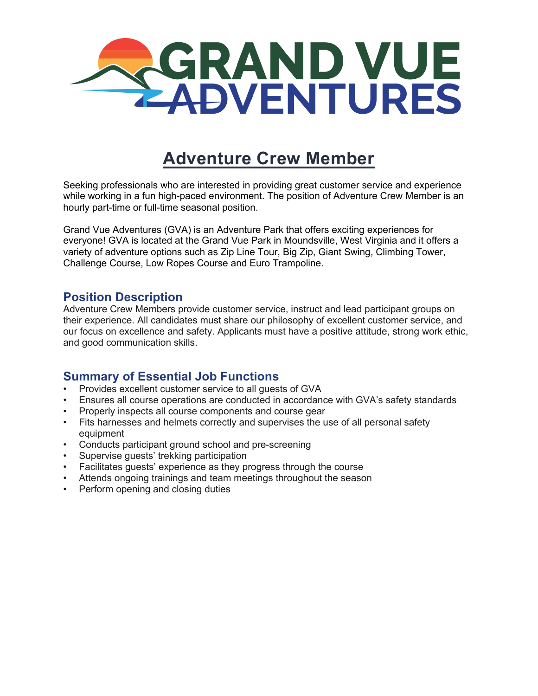

# **Adventure Crew Member**

Seeking professionals who are interested in providing great customer service and experience while working in a fun high-paced environment. The position of Adventure Crew Member is an hourly part-time or full-time seasonal position.

Grand Vue Adventures (GVA) is an Adventure Park that offers exciting experiences for everyone! GVA is located at the Grand Vue Park in Moundsville, West Virginia and it offers a variety of adventure options such as Zip Line Tour, Big Zip, Giant Swing, Climbing Tower, Challenge Course, Low Ropes Course and Euro Trampoline.

#### **Position Description**

Adventure Crew Members provide customer service, instruct and lead participant groups on their experience. All candidates must share our philosophy of excellent customer service, and our focus on excellence and safety. Applicants must have a positive attitude, strong work ethic, and good communication skills.

#### **Summary of Essential Job Functions**

- Provides excellent customer service to all guests of GVA
- Ensures all course operations are conducted in accordance with GVA's safety standards
- Properly inspects all course components and course gear
- Fits harnesses and helmets correctly and supervises the use of all personal safety equipment
- Conducts participant ground school and pre-screening
- Supervise guests' trekking participation
- Facilitates guests' experience as they progress through the course
- Attends ongoing trainings and team meetings throughout the season
- Perform opening and closing duties